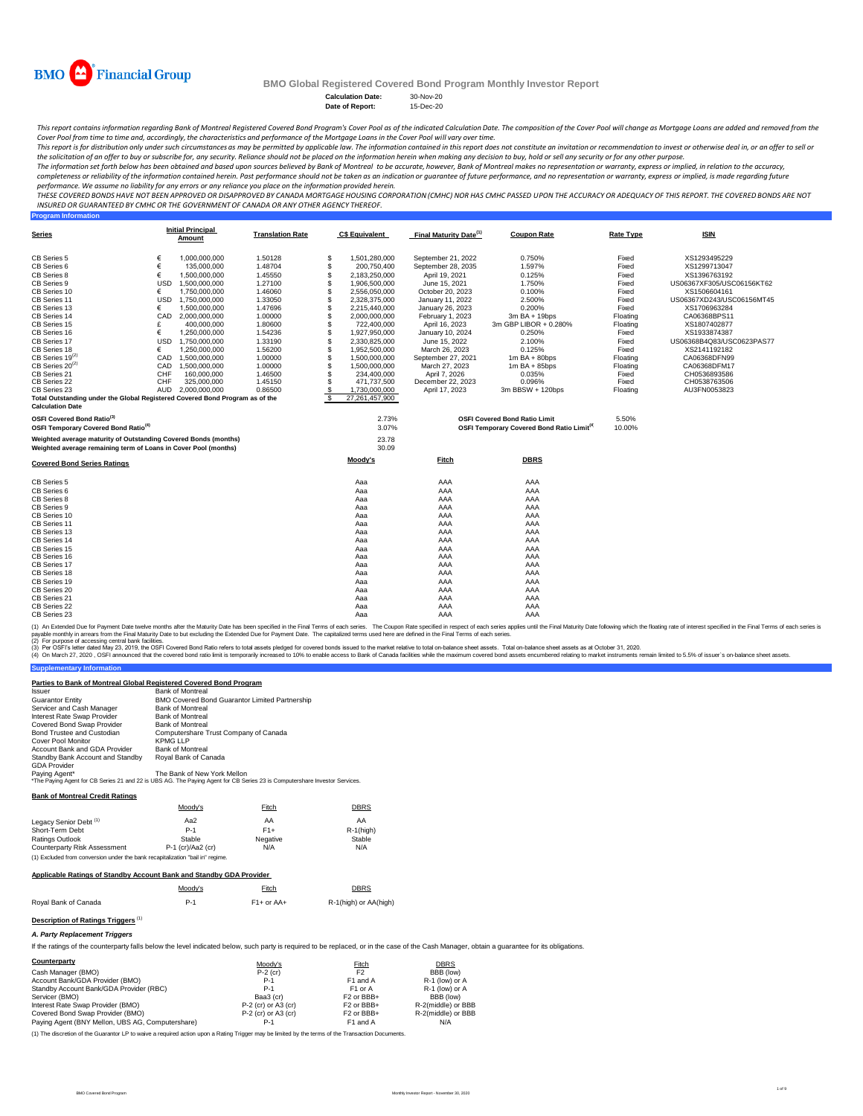| <b>Calculation Date:</b> | 30-Nov-20 |
|--------------------------|-----------|
| Date of Report:          | 15-Dec-20 |

#### **Program Information**

30.09

| <b>Covered Bond Series Ratings</b> | <b>Moody's</b> | <b>Fitch</b> | <b>DBRS</b> |  |
|------------------------------------|----------------|--------------|-------------|--|
| <b>CB Series 5</b>                 | Aaa            | <b>AAA</b>   | AAA         |  |
| <b>CB Series 6</b>                 | Aaa            | <b>AAA</b>   | AAA         |  |
| <b>CB Series 8</b>                 | Aaa            | <b>AAA</b>   | AAA         |  |
| <b>CB Series 9</b>                 | Aaa            | <b>AAA</b>   | AAA         |  |
| <b>CB Series 10</b>                | Aaa            | <b>AAA</b>   | AAA         |  |
| <b>CB Series 11</b>                | Aaa            | <b>AAA</b>   | AAA         |  |
| <b>CB Series 13</b>                | Aaa            | <b>AAA</b>   | AAA         |  |
| <b>CB Series 14</b>                | Aaa            | <b>AAA</b>   | AAA         |  |
| <b>CB Series 15</b>                | Aaa            | <b>AAA</b>   | AAA         |  |
| <b>CB Series 16</b>                | Aaa            | <b>AAA</b>   | <b>AAA</b>  |  |
| <b>CB Series 17</b>                | Aaa            | <b>AAA</b>   | AAA         |  |
| <b>CB Series 18</b>                | Aaa            | <b>AAA</b>   | AAA         |  |
| <b>CB Series 19</b>                | Aaa            | <b>AAA</b>   | <b>AAA</b>  |  |
| <b>CB Series 20</b>                | Aaa            | <b>AAA</b>   | AAA         |  |
| <b>CB Series 21</b>                | Aaa            | <b>AAA</b>   | AAA         |  |
| <b>CB Series 22</b>                | Aaa            | <b>AAA</b>   | AAA         |  |
| <b>CB Series 23</b>                | Aaa            | <b>AAA</b>   | AAA         |  |

(1) An Extended Due for Payment Date twelve months after the Maturity Date has been specified in the Final Terms of each series. The Coupon Rate specified in respect of each series applies until the Final Maturity Date fol payable monthly in arrears from the Final Maturity Date to but excluding the Extended Due for Payment Date. The capitalized terms used here are defined in the Final Terms of each series.

| <b>Series</b>                                                                |            | <b>Initial Principal</b><br><b>Amount</b> | <b>Translation Rate</b> |                           | <b>C\$ Equivalent</b> | <b>Final Maturity Date</b> <sup>(1)</sup> | <b>Coupon Rate</b>                                           | <b>Rate Type</b> | <u>ISIN</u>               |
|------------------------------------------------------------------------------|------------|-------------------------------------------|-------------------------|---------------------------|-----------------------|-------------------------------------------|--------------------------------------------------------------|------------------|---------------------------|
| CB Series 5                                                                  |            | 1,000,000,000                             | 1.50128                 | $\boldsymbol{\mathsf{S}}$ | 1,501,280,000         | September 21, 2022                        | 0.750%                                                       | Fixed            | XS1293495229              |
| <b>CB Series 6</b>                                                           |            | 135,000,000                               | 1.48704                 |                           | 200,750,400           | September 28, 2035                        | 1.597%                                                       | Fixed            | XS1299713047              |
| <b>CB Series 8</b>                                                           |            | 1,500,000,000                             | 1.45550                 |                           | 2,183,250,000         | April 19, 2021                            | 0.125%                                                       | Fixed            | XS1396763192              |
| <b>CB Series 9</b>                                                           | <b>USD</b> | 1,500,000,000                             | 1.27100                 |                           | 1,906,500,000         | June 15, 2021                             | 1.750%                                                       | Fixed            | US06367XF305/USC06156KT62 |
| <b>CB Series 10</b>                                                          |            | 1,750,000,000                             | 1.46060                 |                           | 2,556,050,000         | October 20, 2023                          | 0.100%                                                       | Fixed            | XS1506604161              |
| CB Series 11                                                                 | <b>USD</b> | 1,750,000,000                             | 1.33050                 |                           | 2,328,375,000         | January 11, 2022                          | 2.500%                                                       | Fixed            | US06367XD243/USC06156MT45 |
| CB Series 13                                                                 |            | 1,500,000,000                             | 1.47696                 |                           | 2,215,440,000         | <b>January 26, 2023</b>                   | 0.200%                                                       | Fixed            | XS1706963284              |
| <b>CB Series 14</b>                                                          | <b>CAD</b> | 2,000,000,000                             | 1.00000                 |                           | 2,000,000,000         | February 1, 2023                          | $3m$ BA + 19bps                                              | Floating         | CA06368BPS11              |
| CB Series 15                                                                 |            | 400,000,000                               | 1.80600                 |                           | 722,400,000           | April 16, 2023                            | 3m GBP LIBOR + 0.280%                                        | Floating         | XS1807402877              |
| <b>CB Series 16</b>                                                          |            | 1,250,000,000                             | 1.54236                 |                           | 1,927,950,000         | January 10, 2024                          | $0.250\%$                                                    | Fixed            | XS1933874387              |
| <b>CB Series 17</b>                                                          | <b>USD</b> | 1,750,000,000                             | 1.33190                 |                           | 2,330,825,000         | June 15, 2022                             | 2.100%                                                       | Fixed            | US06368B4Q83/USC0623PAS77 |
| CB Series 18                                                                 |            | 1,250,000,000                             | 1.56200                 |                           | 1,952,500,000         | March 26, 2023                            | 0.125%                                                       | Fixed            | XS2141192182              |
| $CB$ Series 19 <sup>(2)</sup>                                                | CAD        | 1,500,000,000                             | 1.00000                 |                           | 1,500,000,000         | September 27, 2021                        | $1m$ BA + 80bps                                              | Floating         | CA06368DFN99              |
| $CB$ Series $20^{(2)}$                                                       | <b>CAD</b> | 1,500,000,000                             | 1.00000                 |                           | 1,500,000,000         | March 27, 2023                            | $1m$ BA + 85bps                                              | Floating         | CA06368DFM17              |
| CB Series 21                                                                 | <b>CHF</b> | 160,000,000                               | 1.46500                 |                           | 234,400,000           | April 7, 2026                             | 0.035%                                                       | Fixed            | CH0536893586              |
| <b>CB Series 22</b>                                                          | <b>CHF</b> | 325,000,000                               | 1.45150                 |                           | 471,737,500           | December 22, 2023                         | $0.096\%$                                                    | Fixed            | CH0538763506              |
| CB Series 23                                                                 | AUD        | 2,000,000,000                             | 0.86500                 |                           | 1,730,000,000         | April 17, 2023                            | $3m$ BBSW + 120bps                                           | Floating         | AU3FN0053823              |
| Total Outstanding under the Global Registered Covered Bond Program as of the |            |                                           |                         |                           | 27,261,457,900        |                                           |                                                              |                  |                           |
| <b>Calculation Date</b>                                                      |            |                                           |                         |                           |                       |                                           |                                                              |                  |                           |
| OSFI Covered Bond Ratio <sup>(3)</sup>                                       |            |                                           |                         |                           | 2.73%                 |                                           | <b>OSFI Covered Bond Ratio Limit</b>                         | 5.50%            |                           |
| <b>OSFI Temporary Covered Bond Ratio</b> <sup>(4)</sup>                      |            |                                           |                         |                           | 3.07%                 |                                           | <b>OSFI Temporary Covered Bond Ratio Limit<sup>(4</sup>)</b> | 10.00%           |                           |
| Weighted average maturity of Outstanding Covered Bonds (months)              |            |                                           |                         |                           | 23.78                 |                                           |                                                              |                  |                           |

(2) For purpose of accessing central bank facilities.

(3) Per OSFI's letter dated May 23, 2019, the OSFI Covered Bond Ratio refers to total assets pledged for covered bonds issued to the market relative to total on-balance sheet assets. Total on-balance sheet assets as at Oct

(4) On March 27, 2020, OSFI announced that the covered bond ratio limit is temporarily increased to 10% to enable access to Bank of Canada facilities while the maximum covered bond assets encumbered relating to market inst

#### **Supplementary Information**

This report contains information regarding Bank of Montreal Registered Covered Bond Program's Cover Pool as of the indicated Calculation Date. The composition of the Cover Pool will change as Mortgage Loans are added and r *Cover Pool from time to time and, accordingly, the characteristics and performance of the Mortgage Loans in the Cover Pool will vary over time.*

This report is for distribution only under such circumstances as may be permitted by applicable law. The information contained in this report does not constitute an invitation or recommendation to invest or otherwise deal the solicitation of an offer to buy or subscribe for, any security. Reliance should not be placed on the information herein when making any decision to buy, hold or sell any security or for any other purpose.

#### **Bank of Montreal Credit Ratings**

#### **Applicable Ratings of Standby Account Bank and Standby GDA Provider**

| <b>NA</b> 1 | <b>DDD</b> |
|-------------|------------|
|             |            |

Moody's Fitch Eitch DBRS Royal Bank of Canada **P-1** P-1 F1+ or AA+ R-1(high) or AA(high)

### **Description of Ratings Triggers**<sup>(1)</sup>

#### *A. Party Replacement Triggers*

If the ratings of the counterparty falls below the level indicated below, such party is required to be replaced, or in the case of the Cash Manager, obtain a guarantee for its obligations.

The information set forth below has been obtained and based upon sources believed by Bank of Montreal to be accurate, however, Bank of Montreal makes no representation or warranty, express or implied, in relation to the ac completeness or reliability of the information contained herein. Past performance should not be taken as an indication or guarantee of future performance, and no representation or warranty, express or implied, is made rega *performance. We assume no liability for any errors or any reliance you place on the information provided herein.*

| Counterparty                                     | Moody's               | <b>Fitch</b>                      | <b>DBRS</b>        |
|--------------------------------------------------|-----------------------|-----------------------------------|--------------------|
| Cash Manager (BMO)                               | $P-2$ (cr)            | F <sub>2</sub>                    | BBB (low)          |
| Account Bank/GDA Provider (BMO)                  | $P-1$                 | F <sub>1</sub> and A              | $R-1$ (low) or A   |
| Standby Account Bank/GDA Provider (RBC)          | $P-1$                 | F <sub>1</sub> or A               | $R-1$ (low) or A   |
| Servicer (BMO)                                   | Baa3 (cr)             | F <sub>2</sub> or BB <sub>+</sub> | BBB (low)          |
| Interest Rate Swap Provider (BMO)                | $P-2$ (cr) or A3 (cr) | F <sub>2</sub> or BB <sub>+</sub> | R-2(middle) or BBB |
| Covered Bond Swap Provider (BMO)                 | $P-2$ (cr) or A3 (cr) | F <sub>2</sub> or BB <sub>+</sub> | R-2(middle) or BBB |
| Paying Agent (BNY Mellon, UBS AG, Computershare) | $P-1$                 | F1 and A                          | N/A                |

| <b>Issuer</b>                           | <b>Bank of Montreal</b>                                                                                       |
|-----------------------------------------|---------------------------------------------------------------------------------------------------------------|
| <b>Guarantor Entity</b>                 | <b>BMO Covered Bond Guarantor Limited Partnership</b>                                                         |
| Servicer and Cash Manager               | <b>Bank of Montreal</b>                                                                                       |
| <b>Interest Rate Swap Provider</b>      | <b>Bank of Montreal</b>                                                                                       |
| <b>Covered Bond Swap Provider</b>       | <b>Bank of Montreal</b>                                                                                       |
| <b>Bond Trustee and Custodian</b>       | Computershare Trust Company of Canada                                                                         |
| <b>Cover Pool Monitor</b>               | <b>KPMG LLP</b>                                                                                               |
| <b>Account Bank and GDA Provider</b>    | <b>Bank of Montreal</b>                                                                                       |
| <b>Standby Bank Account and Standby</b> | Royal Bank of Canada                                                                                          |
| <b>GDA Provider</b>                     |                                                                                                               |
| Paying Agent*                           | The Bank of New York Mellon                                                                                   |
|                                         | *The Doving Agent for CD Series 21 and 22 is LIDS AC. The Doving Agent for CD Series 22 is Computershore Inve |

Ine Paying Agent for CB Series 21 and 22 is UBS AG. The Paying Agent for CB Series 23 is Computershare Investor Services.

(1) The discretion of the Guarantor LP to waive a required action upon a Rating Trigger may be limited by the terms of the Transaction Documents.

|                                     | Moody's             | Fitch           | <b>DBRS</b>   |
|-------------------------------------|---------------------|-----------------|---------------|
| Legacy Senior Debt <sup>(1)</sup>   | Aa2                 | AA              | AA            |
| <b>Short-Term Debt</b>              | $P-1$               | $F1+$           | $R-1$ (high)  |
| <b>Ratings Outlook</b>              | <b>Stable</b>       | <b>Negative</b> | <b>Stable</b> |
| <b>Counterparty Risk Assessment</b> | $P-1$ (cr)/Aa2 (cr) | N/A             | N/A           |

(1) Excluded from conversion under the bank recapitalization "bail in" regime.



**BMO Global Registered Covered Bond Program Monthly Investor Report**

**Weighted average remaining term of Loans in Cover Pool (months)**

**Parties to Bank of Montreal Global Registered Covered Bond Program**

*THESE COVERED BONDS HAVE NOT BEEN APPROVED OR DISAPPROVED BY CANADA MORTGAGE HOUSING CORPORATION (CMHC) NOR HAS CMHC PASSED UPON THE ACCURACY OR ADEQUACY OF THIS REPORT. THE COVERED BONDS ARE NOT INSURED OR GUARANTEED BY CMHC OR THE GOVERNMENT OF CANADA OR ANY OTHER AGENCY THEREOF.*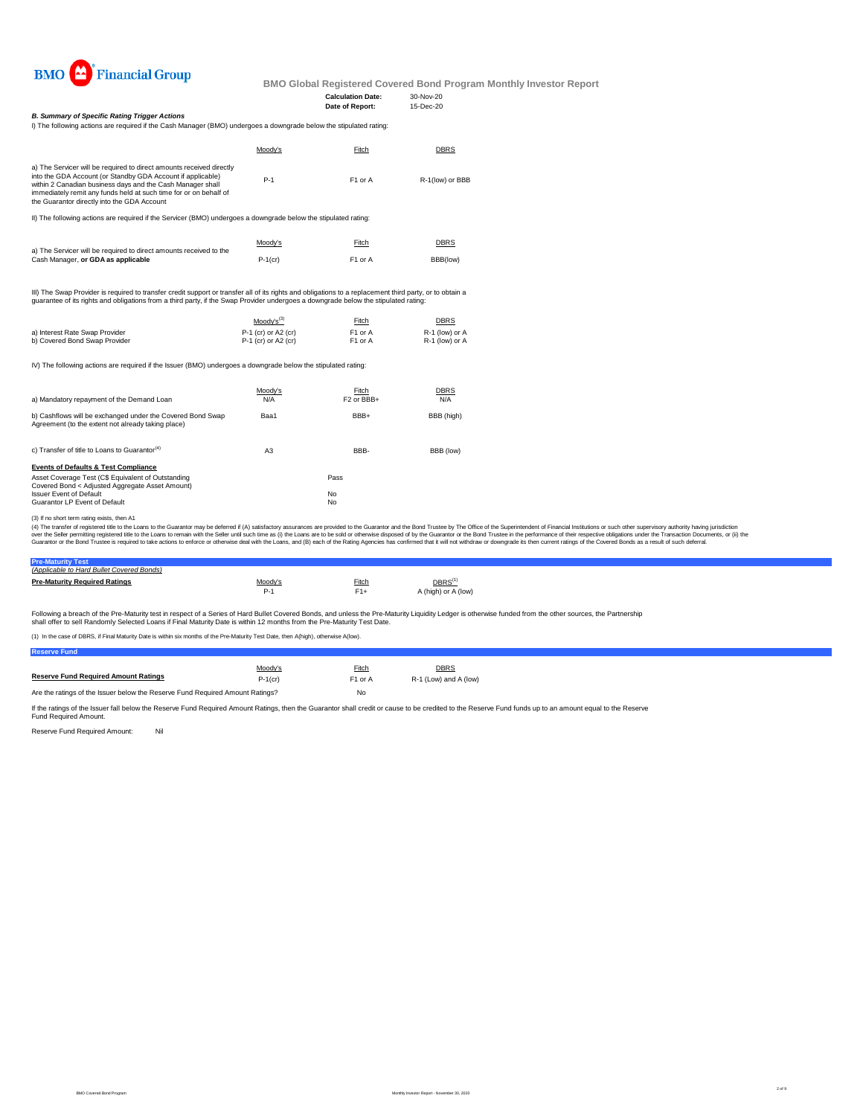

**BMO Global Registered Covered Bond Program Monthly Investor Report**

I) The following actions are required if the Cash Manager (BMO) undergoes a downgrade below the stipulated rating:

|                                | $Mody's^{(3)}$        | <b>Fitch</b>        | <b>DBRS</b>      |
|--------------------------------|-----------------------|---------------------|------------------|
| a) Interest Rate Swap Provider | $P-1$ (cr) or A2 (cr) | F <sub>1</sub> or A | $R-1$ (low) or A |
| b) Covered Bond Swap Provider  | $P-1$ (cr) or A2 (cr) | F1 or A             | $R-1$ (low) or A |

IV) The following actions are required if the Issuer (BMO) undergoes a downgrade below the stipulated rating:

| c) Transfer of title to Loans to Guarantor <sup>(4)</sup> | A3 | BBB-      | BBB (low) |
|-----------------------------------------------------------|----|-----------|-----------|
| <b>Events of Defaults &amp; Test Compliance</b>           |    |           |           |
| Asset Coverage Test (C\$ Equivalent of Outstanding        |    | Pass      |           |
| Covered Bond < Adjusted Aggregate Asset Amount)           |    |           |           |
| <b>Issuer Event of Default</b>                            |    | <b>No</b> |           |
| <b>Guarantor LP Event of Default</b>                      |    | <b>No</b> |           |

| (Applicable to Hard Bullet Covered Bonds) |                |              |                                  |
|-------------------------------------------|----------------|--------------|----------------------------------|
| <b>Pre-Maturity Required Ratings</b>      | <u>Moody's</u> | <b>Fitch</b> | $\overline{\mathsf{DBRS}^{(1)}}$ |
|                                           | $P-1$          | $F1+$        | A (high) or A (low)              |
|                                           |                |              |                                  |

Following a breach of the Pre-Maturity test in respect of a Series of Hard Bullet Covered Bonds, and unless the Pre-Maturity Liquidity Ledger is otherwise funded from the other sources, the Partnership shall offer to sell Randomly Selected Loans if Final Maturity Date is within 12 months from the Pre-Maturity Test Date.

(3) If no short term rating exists, then A1

(4) The transfer of registered title to the Loans to the Guarantor may be deferred if (A) satisfactory assurances are provided to the Guarantor and the Bond Trustee by The Office of the Superintendent of Financial Institut over the Seller permitting registered title to the Loans to remain with the Seller until such time as (i) the Loans are to be sold or otherwise disposed of by the Guarantor or the Bond Trustee in the performance of their r Guarantor or the Bond Trustee is required to take actions to enforce or otherwise deal with the Loans, and (B) each of the Rating Agencies has confirmed that it will not withdraw or downgrade its then current ratings of th

|                                                                                                                                                                                                                                                                                                                       | Moody's | Fitch               | <u>DBRS</u>     |
|-----------------------------------------------------------------------------------------------------------------------------------------------------------------------------------------------------------------------------------------------------------------------------------------------------------------------|---------|---------------------|-----------------|
| a) The Servicer will be required to direct amounts received directly<br>into the GDA Account (or Standby GDA Account if applicable)<br>within 2 Canadian business days and the Cash Manager shall<br>immediately remit any funds held at such time for or on behalf of<br>the Guarantor directly into the GDA Account | $P-1$   | F <sub>1</sub> or A | R-1(low) or BBB |

| a) Mandatory repayment of the Demand Loan                                                                        | Moody's | Fitch                             | <b>DBRS</b> |
|------------------------------------------------------------------------------------------------------------------|---------|-----------------------------------|-------------|
|                                                                                                                  | N/A     | F <sub>2</sub> or BB <sub>+</sub> | N/A         |
| b) Cashflows will be exchanged under the Covered Bond Swap<br>Agreement (to the extent not already taking place) | Baa1    | BBB+                              | BBB (high)  |

If the ratings of the Issuer fall below the Reserve Fund Required Amount Ratings, then the Guarantor shall credit or cause to be credited to the Reserve Fund funds up to an amount equal to the Reserve Fund Required Amount.

Reserve Fund Required Amount: Nil

|                                                                    | <u>Moody's</u> | Fitch               | <b>DBRS</b> |
|--------------------------------------------------------------------|----------------|---------------------|-------------|
| a) The Servicer will be required to direct amounts received to the |                |                     |             |
| Cash Manager, or GDA as applicable                                 | $P-1$ (cr)     | F <sub>1</sub> or A | BBB(low)    |

III) The Swap Provider is required to transfer credit support or transfer all of its rights and obligations to a replacement third party, or to obtain a guarantee of its rights and obligations from a third party, if the Swap Provider undergoes a downgrade below the stipulated rating:

(1) In the case of DBRS, if Final Maturity Date is within six months of the Pre-Maturity Test Date, then A(high), otherwise A(low).

#### *B. Summary of Specific Rating Trigger Actions*

II) The following actions are required if the Servicer (BMO) undergoes a downgrade below the stipulated rating: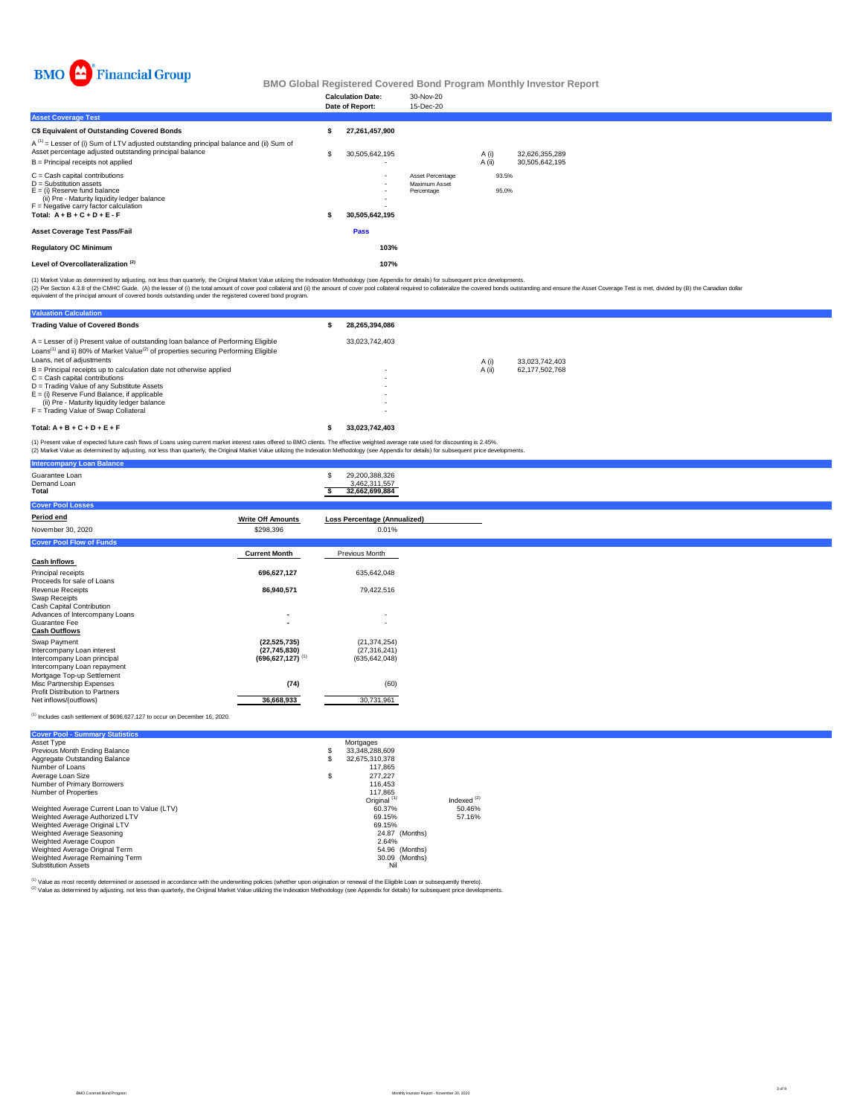

## **BMO Global Registered Covered Bond Program Monthly Investor Report**

|                                                                                                                                                                                                                              | <b>Calculation Date:</b><br>Date of Report:                            | 30-Nov-20<br>15-Dec-20                                        |                |                                  |
|------------------------------------------------------------------------------------------------------------------------------------------------------------------------------------------------------------------------------|------------------------------------------------------------------------|---------------------------------------------------------------|----------------|----------------------------------|
| <b>Asset Coverage Test</b>                                                                                                                                                                                                   |                                                                        |                                                               |                |                                  |
| <b>C\$ Equivalent of Outstanding Covered Bonds</b>                                                                                                                                                                           | 27,261,457,900                                                         |                                                               |                |                                  |
| $A^{(1)}$ = Lesser of (i) Sum of LTV adjusted outstanding principal balance and (ii) Sum of<br>Asset percentage adjusted outstanding principal balance<br>$B =$ Principal receipts not applied                               | \$<br>30,505,642,195                                                   |                                                               | A(i)<br>A(i)   | 32,626,355,289<br>30,505,642,195 |
| $C =$ Cash capital contributions<br>$D =$ Substitution assets<br>$E = (i)$ Reserve fund balance<br>(ii) Pre - Maturity liquidity ledger balance<br>$F =$ Negative carry factor calculation<br>Total: $A + B + C + D + E - F$ | $\overline{\phantom{0}}$<br>$\overline{\phantom{0}}$<br>30,505,642,195 | <b>Asset Percentage</b><br><b>Maximum Asset</b><br>Percentage | 93.5%<br>95.0% |                                  |
| <b>Asset Coverage Test Pass/Fail</b>                                                                                                                                                                                         | <b>Pass</b>                                                            |                                                               |                |                                  |
| <b>Regulatory OC Minimum</b>                                                                                                                                                                                                 | 103%                                                                   |                                                               |                |                                  |
| Level of Overcollateralization <sup>(2)</sup>                                                                                                                                                                                | 107%                                                                   |                                                               |                |                                  |

| <b>Intercompany Loan Balance</b>                                   |                                                    |                                                         |
|--------------------------------------------------------------------|----------------------------------------------------|---------------------------------------------------------|
| Guarantee Loan<br>Demand Loan<br><b>Total</b>                      |                                                    | 29,200,388,326<br>\$<br>3,462,311,557<br>32,662,699,884 |
| <b>Cover Pool Losses</b>                                           |                                                    |                                                         |
| <b>Period end</b>                                                  | <b>Write Off Amounts</b>                           | <b>Loss Percentage (Annualized)</b>                     |
| November 30, 2020                                                  | \$298,396                                          | 0.01%                                                   |
| <b>Cover Pool Flow of Funds</b>                                    |                                                    |                                                         |
|                                                                    | <b>Current Month</b>                               | <b>Previous Month</b>                                   |
| <b>Cash Inflows</b>                                                |                                                    |                                                         |
| <b>Principal receipts</b><br>Proceeds for sale of Loans            | 696,627,127                                        | 635,642,048                                             |
| <b>Revenue Receipts</b>                                            | 86,940,571                                         | 79,422,516                                              |
| <b>Swap Receipts</b>                                               |                                                    |                                                         |
| <b>Cash Capital Contribution</b><br>Advances of Intercompany Loans | $\blacksquare$                                     | $\sim$                                                  |
| <b>Guarantee Fee</b>                                               |                                                    |                                                         |
| <b>Cash Outflows</b>                                               |                                                    |                                                         |
| <b>Swap Payment</b>                                                | (22, 525, 735)                                     | (21, 374, 254)                                          |
| Intercompany Loan interest<br>Intercompany Loan principal          | (27, 745, 830)<br>$(696, 627, 127)$ <sup>(1)</sup> | (27, 316, 241)<br>(635, 642, 048)                       |
| Intercompany Loan repayment                                        |                                                    |                                                         |
| Mortgage Top-up Settlement<br><b>Misc Partnership Expenses</b>     |                                                    | (60)                                                    |
| <b>Profit Distribution to Partners</b>                             | (74)                                               |                                                         |
| Net inflows/(outflows)                                             | 36,668,933                                         | 30,731,961                                              |

 $(1)$  Includes cash settlement of \$696,627,127 to occur on December 16, 2020.

| <b>Valuation Calculation</b>                                                                                                                                                                                                                                                                       |                                                                                                                              |        |                |  |
|----------------------------------------------------------------------------------------------------------------------------------------------------------------------------------------------------------------------------------------------------------------------------------------------------|------------------------------------------------------------------------------------------------------------------------------|--------|----------------|--|
| <b>Trading Value of Covered Bonds</b>                                                                                                                                                                                                                                                              | 28,265,394,086                                                                                                               |        |                |  |
| $A =$ Lesser of i) Present value of outstanding loan balance of Performing Eligible<br>Loans <sup>(1)</sup> and ii) 80% of Market Value <sup>(2)</sup> of properties securing Performing Eligible<br>Loans, net of adjustments                                                                     | 33,023,742,403                                                                                                               | A (i)  | 33,023,742,403 |  |
| $B =$ Principal receipts up to calculation date not otherwise applied<br>$C =$ Cash capital contributions<br>D = Trading Value of any Substitute Assets<br>$E =$ (i) Reserve Fund Balance, if applicable<br>(ii) Pre - Maturity liquidity ledger balance<br>$F =$ Trading Value of Swap Collateral | $\blacksquare$<br>$\overline{\phantom{a}}$<br>$\overline{\phantom{0}}$<br>$\blacksquare$<br>$\blacksquare$<br>$\blacksquare$ | A (ii) | 62,177,502,768 |  |
| Total: $A + B + C + D + E + F$                                                                                                                                                                                                                                                                     | 33,023,742,403                                                                                                               |        |                |  |

(1) Market Value as determined by adjusting, not less than quarterly, the Original Market Value utilizing the Indexation Methodology (see Appendix for details) for subsequent price developments.

(2) Per Section 4.3.8 of the CMHC Guide, (A) the lesser of (i) the total amount of cover pool collateral and (ii) the amount of cover pool collateral required to collateralize the covered bonds outstanding and ensure the A equivalent of the principal amount of covered bonds outstanding under the registered covered bond program.

(1) Present value of expected future cash flows of Loans using current market interest rates offered to BMO clients. The effective weighted average rate used for discounting is 2.45%.

(2) Market Value as determined by adjusting, not less than quarterly, the Original Market Value utilizing the Indexation Methodology (see Appendix for details) for subsequent price developments.

| <b>Cover Pool - Summary Statistics</b>       |                         |               |
|----------------------------------------------|-------------------------|---------------|
| Asset Type                                   | Mortgages               |               |
| <b>Previous Month Ending Balance</b>         | 33,348,288,609          |               |
| <b>Aggregate Outstanding Balance</b>         | 32,675,310,378          |               |
| Number of Loans                              | 117,865                 |               |
| Average Loan Size                            | 277,227                 |               |
| <b>Number of Primary Borrowers</b>           | 116,453                 |               |
| <b>Number of Properties</b>                  | 117,865                 |               |
|                                              | Original <sup>(1)</sup> | Indexed $(2)$ |
| Weighted Average Current Loan to Value (LTV) | 60.37%                  | 50.46%        |
| Weighted Average Authorized LTV              | 69.15%                  | 57.16%        |
| Weighted Average Original LTV                | 69.15%                  |               |
| <b>Weighted Average Seasoning</b>            | 24.87 (Months)          |               |
| <b>Weighted Average Coupon</b>               | 2.64%                   |               |
| <b>Weighted Average Original Term</b>        | 54.96 (Months)          |               |
| Weighted Average Remaining Term              | 30.09 (Months)          |               |
| <b>Substitution Assets</b>                   | Nil                     |               |

(1) Value as most recently determined or assessed in accordance with the underwriting policies (whether upon origination or renewal of the Eligible Loan or subsequently thereto).

<sup>(2)</sup> Value as determined by adjusting, not less than quarterly, the Original Market Value utilizing the Indexation Methodology (see Appendix for details) for subsequent price developments.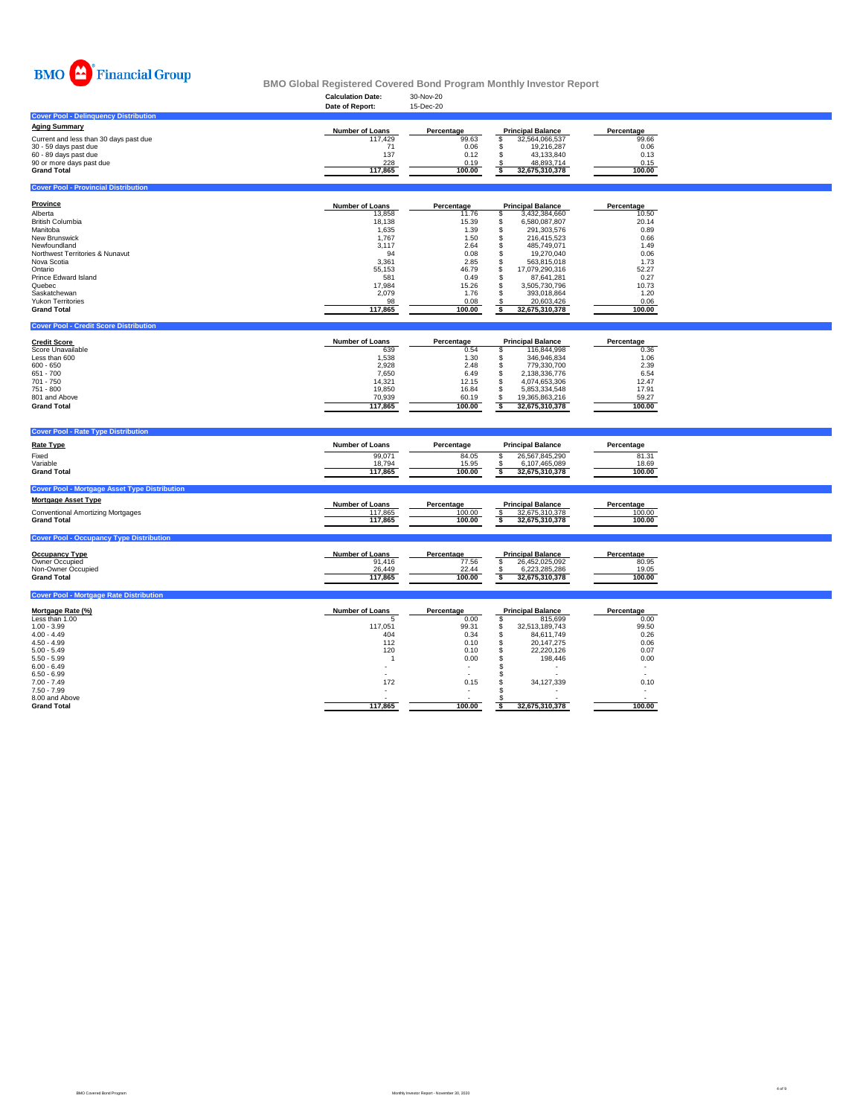

**BMO Global Registered Covered Bond Program Monthly Investor Report**

|                                              | <b>Calculation Date:</b> | 30-Nov-20         |                          |                   |
|----------------------------------------------|--------------------------|-------------------|--------------------------|-------------------|
|                                              | Date of Report:          | 15-Dec-20         |                          |                   |
| <b>Cover Pool - Delinquency Distribution</b> |                          |                   |                          |                   |
| <b>Aging Summary</b>                         | <b>Number of Loans</b>   | <b>Percentage</b> | <b>Principal Balance</b> | <b>Percentage</b> |
| Current and less than 30 days past due       | 117,429                  | 99.63             | 32,564,066,537           | 99.66             |
| 30 - 59 days past due                        |                          | 0.06              | 19,216,287               | 0.06              |
| 60 - 89 days past due                        | 137                      | 0.12              | 43,133,840               | 0.13              |
| 90 or more days past due                     | 228                      | 0.19              | 48,893,714               | 0.15              |
| <b>Grand Total</b>                           | 117,865                  | 100.00            | 32,675,310,378           | 100.00            |
|                                              |                          |                   |                          |                   |

### **Cover Pool - Provincial Distribution**

#### **Cover Pool - Credit Score Distribution**

### **Cover Pool - Rate Type Distribution**

| <b>Province</b>                            | <b>Number of Loans</b> | <b>Percentage</b> | <b>Principal Balance</b> | Percentage |
|--------------------------------------------|------------------------|-------------------|--------------------------|------------|
| Alberta                                    | 13,858                 | 11.76             | 3,432,384,660            | 10.50      |
| <b>British Columbia</b>                    | 18,138                 | 15.39             | 6,580,087,807            | 20.14      |
| Manitoba                                   | 1,635                  | 1.39              | 291,303,576              | 0.89       |
| <b>New Brunswick</b>                       | 1,767                  | 1.50              | 216,415,523              | 0.66       |
| Newfoundland                               | 3,117                  | 2.64              | 485,749,071              | 1.49       |
| <b>Northwest Territories &amp; Nunavut</b> | 94                     | 0.08              | 19,270,040               | 0.06       |
| Nova Scotia                                | 3,361                  | 2.85              | 563,815,018              | 1.73       |
| Ontario                                    | 55,153                 | 46.79             | 17,079,290,316           | 52.27      |
| <b>Prince Edward Island</b>                | 581                    | 0.49              | 87,641,281               | 0.27       |
| Quebec                                     | 17,984                 | 15.26             | 3,505,730,796            | 10.73      |
| Saskatchewan                               | 2,079                  | 1.76              | 393,018,864              | 1.20       |
| <b>Yukon Territories</b>                   | 98                     | 0.08              | 20,603,426               | 0.06       |
| <b>Grand Total</b>                         | 117,865                | 100.00            | 32,675,310,378           | 100.00     |

| <b>Rate Type</b>                                               | <b>Number of Loans</b>      | Percentage               | <b>Principal Balance</b>                                                                                        | Percentage               |  |
|----------------------------------------------------------------|-----------------------------|--------------------------|-----------------------------------------------------------------------------------------------------------------|--------------------------|--|
| Fixed<br>Variable<br><b>Grand Total</b>                        | 99,071<br>18,794<br>117,865 | 84.05<br>15.95<br>100.00 | 26,567,845,290<br>6,107,465,089<br>32,675,310,378                                                               | 81.31<br>18.69<br>100.00 |  |
| <b>Cover Pool - Mortgage Asset Type Distribution</b>           |                             |                          |                                                                                                                 |                          |  |
| <b>Mortgage Asset Type</b>                                     | <b>Number of Loans</b>      | Percentage               | <b>Principal Balance</b>                                                                                        | <b>Percentage</b>        |  |
| <b>Conventional Amortizing Mortgages</b><br><b>Grand Total</b> | 117,865<br>117,865          | 100.00<br>100.00         | 32,675,310,378<br>32,675,310,378                                                                                | 100.00<br>100.00         |  |
| <b>Cover Pool - Occupancy Type Distribution</b>                |                             |                          |                                                                                                                 |                          |  |
|                                                                |                             |                          | - 이 사이 - 이 사이 - 이 사이 - 이 사이 - 이 사이 - 이 사이 - 이 사이 - 이 사이 - 이 사이 - 이 사이 - 이 사이 - 이 사이 - 이 사이 - 이 사이 - 이 사이 - 이 사이 |                          |  |

| <b>Credit Score</b>      | <b>Number of Loans</b> | <b>Percentage</b> | <b>Principal Balance</b> |                | <b>Percentage</b> |
|--------------------------|------------------------|-------------------|--------------------------|----------------|-------------------|
| <b>Score Unavailable</b> | 639                    | 0.54              |                          | 116,844,998    | 0.36              |
| Less than 600            | 1,538                  | 1.30              |                          | 346,946,834    | 1.06              |
| $600 - 650$              | 2,928                  | 2.48              |                          | 779,330,700    | 2.39              |
| 651 - 700                | 7,650                  | 6.49              |                          | 2,138,336,776  | 6.54              |
| 701 - 750                | 14,321                 | 12.15             |                          | 4,074,653,306  | 12.47             |
| 751 - 800                | 19,850                 | 16.84             |                          | 5,853,334,548  | 17.91             |
| 801 and Above            | 70,939                 | 60.19             |                          | 19,365,863,216 | 59.27             |
| <b>Grand Total</b>       | 117,865                | 100.00            |                          | 32,675,310,378 | 100.00            |

| <b>Occupancy Type</b>     | <b>Number of Loans</b> | <b>Percentage</b> | <b>Principal Balance</b> | <b>Percentage</b> |
|---------------------------|------------------------|-------------------|--------------------------|-------------------|
| <b>Owner Occupied</b>     | 91,416                 | 77.56             | 26,452,025,092           | 80.95             |
| <b>Non-Owner Occupied</b> | 26,449                 | 22.44             | 6,223,285,286            | 19.05             |
| <b>Grand Total</b>        | 117,865                | 100.00            | 32,675,310,378           | 100.00            |

### **Cover Pool - Mortgage Rate Distribution**

| <u>Mortgage Rate (%)</u> | <b>Number of Loans</b> | Percentage | <b>Principal Balance</b> | Percentage |
|--------------------------|------------------------|------------|--------------------------|------------|
| Less than 1.00           |                        | 0.00       | 815,699                  | 0.00       |
| $1.00 - 3.99$            | 117,051                | 99.31      | 32,513,189,743           | 99.50      |
| $4.00 - 4.49$            | 404                    | 0.34       | 84,611,749               | 0.26       |
| $4.50 - 4.99$            | 112                    | 0.10       | 20,147,275               | 0.06       |
| $5.00 - 5.49$            | 120                    | 0.10       | 22,220,126               | 0.07       |
| $5.50 - 5.99$            |                        | 0.00       | 198,446                  | 0.00       |
| $6.00 - 6.49$            |                        |            |                          |            |
| $6.50 - 6.99$            |                        |            |                          |            |
| $7.00 - 7.49$            | 172                    | 0.15       | 34,127,339               | 0.10       |
| $7.50 - 7.99$            |                        |            |                          |            |
| 8.00 and Above           |                        |            |                          |            |
| <b>Grand Total</b>       | 117,865                | 100.00     | 32,675,310,378           | 100.00     |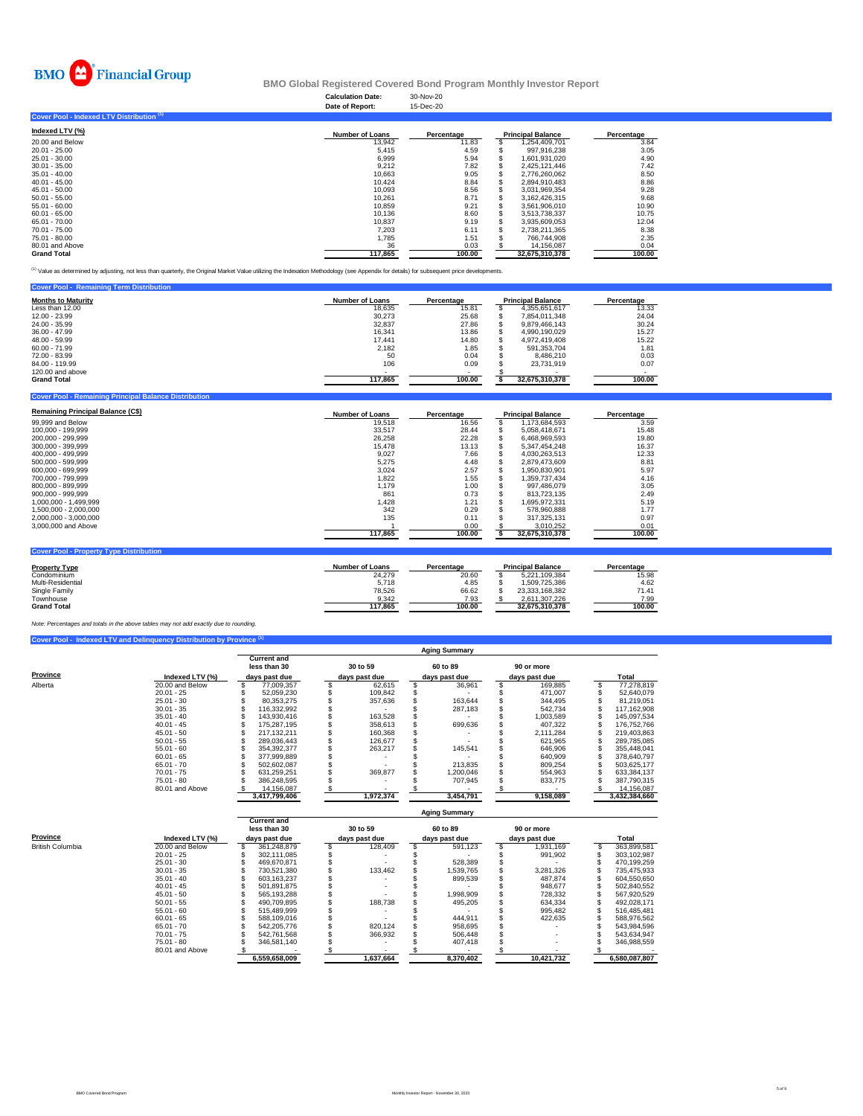

# **BMO Global Registered Covered Bond Program Monthly Investor Report**

# **Cover Pool - Indexed LTV Distribution (1)**

| Indexed LTV $(\%)$ | <b>Number of Loans</b> | Percentage | <b>Principal Balance</b> | <b>Percentage</b> |
|--------------------|------------------------|------------|--------------------------|-------------------|
| 20.00 and Below    | 13,942                 | 11.83      | 254,409,701,             | 3.84              |
| 20.01 - 25.00      | 5,415                  | 4.59       | 997,916,238              | 3.05              |
| 25.01 - 30.00      | 6,999                  | 5.94       | 1,601,931,020            | 4.90              |
| $30.01 - 35.00$    | 9,212                  | 7.82       | 2,425,121,446            | 7.42              |
| $35.01 - 40.00$    | 10,663                 | 9.05       | 2,776,260,062            | 8.50              |
| $40.01 - 45.00$    | 10,424                 | 8.84       | 2,894,910,483            | 8.86              |
| 45.01 - 50.00      | 10,093                 | 8.56       | 3,031,969,354            | 9.28              |
| $50.01 - 55.00$    | 10,261                 | 8.71       | 3,162,426,315            | 9.68              |
| $55.01 - 60.00$    | 10,859                 | 9.21       | 3,561,906,010            | 10.90             |
| $60.01 - 65.00$    | 10,136                 | 8.60       | 3,513,738,337            | 10.75             |
| 65.01 - 70.00      | 10,837                 | 9.19       | 3,935,609,053            | 12.04             |
| 70.01 - 75.00      | 7,203                  | 6.11       | 2,738,211,365            | 8.38              |
| 75.01 - 80.00      | 1,785                  | 1.51       | 766,744,908              | 2.35              |
| 80.01 and Above    | 36                     | 0.03       | 14,156,087               | 0.04              |
| <b>Grand Total</b> | 117,865                | 100.00     | 32,675,310,378           | 100.00            |

<sup>(1)</sup> Value as determined by adjusting, not less than quarterly, the Original Market Value utilizing the Indexation Methodology (see Appendix for details) for subsequent price developments.

| <b>Cover Pool - Remaining Term Distribution</b> |                          |            |                          |            |
|-------------------------------------------------|--------------------------|------------|--------------------------|------------|
| <b>Months to Maturity</b>                       | <b>Number of Loans</b>   | Percentage | <b>Principal Balance</b> | Percentage |
| Less than 12.00                                 | 18,635                   | 15.81      | 4,355,651,617            | 13.33      |
| 12.00 - 23.99                                   | 30,273                   | 25.68      | 7,854,011,348            | 24.04      |
| 24.00 - 35.99                                   | 32,837                   | 27.86      | 9,879,466,143            | 30.24      |
| 36.00 - 47.99                                   | 16,341                   | 13.86      | 4,990,190,029            | 15.27      |
| 48.00 - 59.99                                   | 17,441                   | 14.80      | 4,972,419,408            | 15.22      |
| $60.00 - 71.99$                                 | 2,182                    | 1.85       | 591,353,704              | 1.81       |
| 72.00 - 83.99                                   | 50                       | 0.04       | 8,486,210                | 0.03       |
| 84.00 - 119.99                                  | 106                      | 0.09       | 23,731,919               | 0.07       |
| 120.00 and above                                | $\overline{\phantom{a}}$ | $\sim$     |                          |            |
| <b>Grand Total</b>                              | 117,865                  | 100.00     | 32,675,310,378           | 100.00     |

#### **Cover Pool - Remaining Principal Balance Distribution**

| <b>Remaining Principal Balance (C\$)</b> | <b>Number of Loans</b> | <b>Percentage</b> | <b>Principal Balance</b> | <b>Percentage</b> |
|------------------------------------------|------------------------|-------------------|--------------------------|-------------------|
| 99,999 and Below                         | 19,518                 | 16.56             | 173,684,593              | 3.59              |
| 100,000 - 199,999                        | 33,517                 | 28.44             | 5,058,418,671            | 15.48             |
| 200,000 - 299,999                        | 26,258                 | 22.28             | ,468,969,593             | 19.80             |

| 300,000 - 399,999     | 15,478  | 13.13  | 5,347,454,248  | 16.37  |
|-----------------------|---------|--------|----------------|--------|
| 400,000 - 499,999     | 9,027   | 7.66   | 4,030,263,513  | 12.33  |
| 500,000 - 599,999     | 5,275   | 4.48   | 2,879,473,609  | 8.81   |
| 600,000 - 699,999     | 3,024   | 2.57   | 1,950,830,901  | 5.97   |
| 700,000 - 799,999     | 1,822   | 1.55   | 1,359,737,434  | 4.16   |
| 800,000 - 899,999     | 1,179   | 1.00   | 997,486,079    | 3.05   |
| $900,000 - 999,999$   | 861     | 0.73   | 813,723,135    | 2.49   |
| 1,000,000 - 1,499,999 | 1,428   | 1.21   | 1,695,972,331  | 5.19   |
| 1,500,000 - 2,000,000 | 342     | 0.29   | 578,960,888    | 1.77   |
| 2,000,000 - 3,000,000 | 135     | 0.11   | 317,325,131    | 0.97   |
| 3,000,000 and Above   |         | 0.00   | 3,010,252      | 0.01   |
|                       | 117,865 | 100.00 | 32,675,310,378 | 100.00 |
|                       |         |        |                |        |

### **Cover Pool - Property Type Distribution**

| <b>Property Type</b> | <b>Number of Loans</b> | <b>Principal Balance</b><br><b>Percentage</b> |  |                | <b>Percentage</b> |
|----------------------|------------------------|-----------------------------------------------|--|----------------|-------------------|
| Condominium          | 24,279                 | 20.60                                         |  | 5,221,109,384  | 15.98             |
| Multi-Residential    | 5,718                  | 4.85                                          |  | ,509,725,386   | 4.62              |
| <b>Single Family</b> | 78,526                 | 66.62                                         |  | 23,333,168,382 | 71.41             |
| Townhouse            | 9,342                  | 7.93                                          |  | 2,611,307,226  | 7.99              |
| <b>Grand Total</b>   | 117,865                | 100.00                                        |  | 32,675,310,378 | 100.00            |

## **Cover Pool - Indexed LTV and Delinquency Distribution by Province (1)**

|                 |                    | <b>Aging Summary</b>               |               |          |               |  |               |  |               |  |               |  |  |
|-----------------|--------------------|------------------------------------|---------------|----------|---------------|--|---------------|--|---------------|--|---------------|--|--|
| <b>Province</b> |                    | <b>Current and</b><br>less than 30 |               | 30 to 59 |               |  | 60 to 89      |  | 90 or more    |  |               |  |  |
|                 | Indexed LTV $(\%)$ |                                    | days past due |          | days past due |  | days past due |  | days past due |  | <b>Total</b>  |  |  |
| Alberta         | 20.00 and Below    |                                    | 77,009,357    |          | 62,615        |  | 36,961        |  | 169,885       |  | 77,278,819    |  |  |
|                 | $20.01 - 25$       |                                    | 52,059,230    |          | 109,842       |  |               |  | 471,007       |  | 52,640,079    |  |  |
|                 | $25.01 - 30$       |                                    | 80,353,275    |          | 357,636       |  | 163,644       |  | 344,495       |  | 81,219,051    |  |  |
|                 | $30.01 - 35$       |                                    | 116,332,992   |          |               |  | 287,183       |  | 542,734       |  | 117,162,908   |  |  |
|                 | $35.01 - 40$       |                                    | 143,930,416   |          | 163,528       |  |               |  | 1,003,589     |  | 145,097,534   |  |  |
|                 | $40.01 - 45$       |                                    | 175,287,195   |          | 358,613       |  | 699,636       |  | 407,322       |  | 176,752,766   |  |  |
|                 | $45.01 - 50$       |                                    | 217, 132, 211 |          | 160,368       |  |               |  | 2,111,284     |  | 219,403,863   |  |  |
|                 | $50.01 - 55$       |                                    | 289,036,443   |          | 126,677       |  |               |  | 621,965       |  | 289,785,085   |  |  |
|                 | $55.01 - 60$       |                                    | 354, 392, 377 |          | 263,217       |  | 145,541       |  | 646,906       |  | 355,448,041   |  |  |
|                 | $60.01 - 65$       |                                    | 377,999,889   |          |               |  |               |  | 640,909       |  | 378,640,797   |  |  |
|                 | $65.01 - 70$       |                                    | 502,602,087   |          |               |  | 213,835       |  | 809,254       |  | 503,625,177   |  |  |
|                 | $70.01 - 75$       |                                    | 631,259,251   |          | 369,877       |  | ,200,046      |  | 554,963       |  | 633,384,137   |  |  |
|                 | $75.01 - 80$       |                                    | 386,248,595   |          |               |  | 707,945       |  | 833,775       |  | 387,790,315   |  |  |
|                 | 80.01 and Above    |                                    | 14,156,087    |          |               |  |               |  |               |  | 14,156,087    |  |  |
|                 |                    |                                    | 3,417,799,406 |          | 1,972,374     |  | 3,454,791     |  | 9,158,089     |  | 3,432,384,660 |  |  |

|                         |                 | <b>Aging Summary</b>                                |               |                           |           |  |                           |  |                             |  |               |  |  |  |
|-------------------------|-----------------|-----------------------------------------------------|---------------|---------------------------|-----------|--|---------------------------|--|-----------------------------|--|---------------|--|--|--|
| <b>Province</b>         | Indexed LTV (%) | <b>Current and</b><br>less than 30<br>days past due |               | 30 to 59<br>days past due |           |  | 60 to 89<br>days past due |  | 90 or more<br>days past due |  | Total         |  |  |  |
| <b>British Columbia</b> | 20.00 and Below |                                                     | 361,248,879   |                           | 128,409   |  | 591,123                   |  | 1,931,169                   |  | 363,899,581   |  |  |  |
|                         | $20.01 - 25$    |                                                     | 302,111,085   |                           |           |  |                           |  | 991,902                     |  | 303,102,987   |  |  |  |
|                         | $25.01 - 30$    |                                                     | 469,670,871   |                           |           |  | 528,389                   |  |                             |  | 470,199,259   |  |  |  |
|                         | $30.01 - 35$    |                                                     | 730,521,380   |                           | 133,462   |  | 1,539,765                 |  | 3,281,326                   |  | 735,475,933   |  |  |  |
|                         | $35.01 - 40$    |                                                     | 603,163,237   |                           |           |  | 899,539                   |  | 487,874                     |  | 604,550,650   |  |  |  |
|                         | $40.01 - 45$    |                                                     | 501,891,875   |                           |           |  |                           |  | 948,677                     |  | 502,840,552   |  |  |  |
|                         | $45.01 - 50$    |                                                     | 565,193,288   |                           |           |  | 1,998,909                 |  | 728,332                     |  | 567,920,529   |  |  |  |
|                         | $50.01 - 55$    |                                                     | 490,709,895   |                           | 188,738   |  | 495,205                   |  | 634,334                     |  | 492,028,171   |  |  |  |
|                         | $55.01 - 60$    |                                                     | 515,489,999   |                           |           |  |                           |  | 995,482                     |  | 516,485,481   |  |  |  |
|                         | $60.01 - 65$    |                                                     | 588,109,016   |                           |           |  | 444,911                   |  | 422,635                     |  | 588,976,562   |  |  |  |
|                         | $65.01 - 70$    |                                                     | 542,205,776   |                           | 820,124   |  | 958,695                   |  |                             |  | 543,984,596   |  |  |  |
|                         | $70.01 - 75$    |                                                     | 542,761,568   |                           | 366,932   |  | 506,448                   |  |                             |  | 543,634,947   |  |  |  |
|                         | $75.01 - 80$    |                                                     | 346,581,140   |                           |           |  | 407,418                   |  |                             |  | 346,988,559   |  |  |  |
|                         | 80.01 and Above |                                                     |               |                           |           |  |                           |  |                             |  |               |  |  |  |
|                         |                 |                                                     | 6,559,658,009 |                           | 1,637,664 |  | 8,370,402                 |  | 10,421,732                  |  | 6,580,087,807 |  |  |  |

*Note: Percentages and totals in the above tables may not add exactly due to rounding.*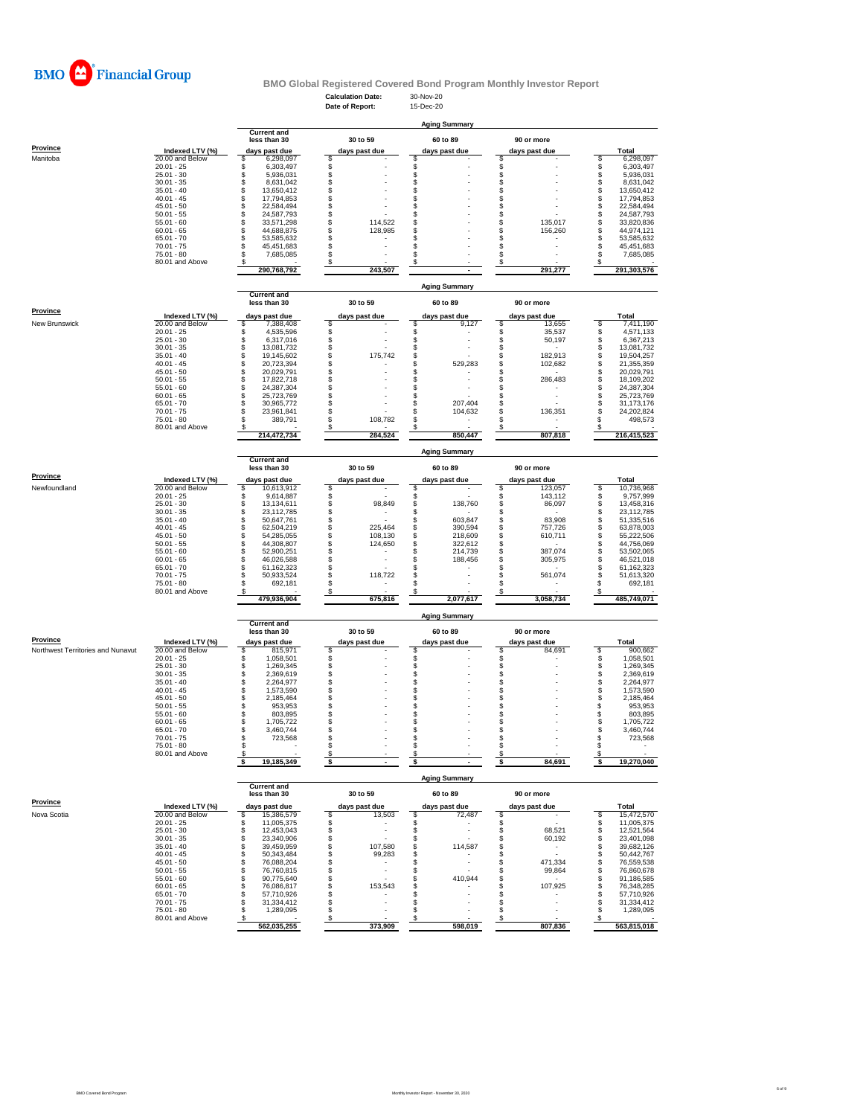

# **BMO Global Registered Covered Bond Program Monthly Investor Report**

**Current and**

**Prov** 

|                      |                    |               | less than 30 | 30 to 59      | 60 to 89      | 90 or more    |             |
|----------------------|--------------------|---------------|--------------|---------------|---------------|---------------|-------------|
| <b>Province</b>      | Indexed LTV $(\%)$ | days past due |              | days past due | days past due | days past due | Total       |
| <b>New Brunswick</b> | 20.00 and Below    |               | 7,388,408    |               | 9,127         | 13,655        | 7,411,190   |
|                      | $20.01 - 25$       |               | 4,535,596    |               |               | 35,537        | 4,571,133   |
|                      | $25.01 - 30$       |               | 6,317,016    |               |               | 50,197        | 6,367,213   |
|                      | $30.01 - 35$       |               | 13,081,732   |               |               |               | 13,081,732  |
|                      | $35.01 - 40$       |               | 19,145,602   | 175,742       |               | 182,913       | 19,504,257  |
|                      | $40.01 - 45$       |               | 20,723,394   |               | 529,283       | 102,682       | 21,355,359  |
|                      | $45.01 - 50$       |               | 20,029,791   |               |               |               | 20,029,791  |
|                      | $50.01 - 55$       |               | 17,822,718   |               |               | 286,483       | 18,109,202  |
|                      | $55.01 - 60$       |               | 24,387,304   |               |               |               | 24,387,304  |
|                      | $60.01 - 65$       |               | 25,723,769   |               |               |               | 25,723,769  |
|                      | $65.01 - 70$       |               | 30,965,772   |               | 207,404       |               | 31,173,176  |
|                      | $70.01 - 75$       |               | 23,961,841   |               | 104,632       | 136,351       | 24,202,824  |
|                      | $75.01 - 80$       |               | 389,791      | 108,782       |               |               | 498,573     |
|                      | 80.01 and Above    |               |              |               |               |               |             |
|                      |                    |               | 214,472,734  | 284,524       | 850,447       | 807,818       | 216,415,523 |

|                 |                     | <b>Aging Summary</b> |                                                     |  |                           |  |                           |  |                             |  |              |  |  |
|-----------------|---------------------|----------------------|-----------------------------------------------------|--|---------------------------|--|---------------------------|--|-----------------------------|--|--------------|--|--|
| <b>Province</b> | Indexed LTV $(\% )$ |                      | <b>Current and</b><br>less than 30<br>days past due |  | 30 to 59<br>days past due |  | 60 to 89<br>days past due |  | 90 or more<br>days past due |  | <b>Total</b> |  |  |
| Manitoba        | 20.00 and Below     |                      | 6,298,097                                           |  |                           |  |                           |  |                             |  | 6,298,097    |  |  |
|                 | $20.01 - 25$        |                      | 6,303,497                                           |  |                           |  |                           |  |                             |  | 6,303,497    |  |  |
|                 | $25.01 - 30$        |                      | 5,936,031                                           |  |                           |  |                           |  |                             |  | 5,936,031    |  |  |
|                 | $30.01 - 35$        |                      | 8,631,042                                           |  |                           |  |                           |  |                             |  | 8,631,042    |  |  |
|                 | $35.01 - 40$        |                      | 13,650,412                                          |  |                           |  |                           |  |                             |  | 13,650,412   |  |  |
|                 | $40.01 - 45$        |                      | 17,794,853                                          |  |                           |  |                           |  | $\sim$                      |  | 17,794,853   |  |  |
|                 | $45.01 - 50$        |                      | 22,584,494                                          |  |                           |  |                           |  |                             |  | 22,584,494   |  |  |
|                 | $50.01 - 55$        |                      | 24,587,793                                          |  |                           |  |                           |  |                             |  | 24,587,793   |  |  |
|                 | $55.01 - 60$        |                      | 33,571,298                                          |  | 114,522                   |  |                           |  | 135,017                     |  | 33,820,836   |  |  |
|                 | $60.01 - 65$        |                      | 44,688,875                                          |  | 128,985                   |  |                           |  | 156,260                     |  | 44,974,121   |  |  |
|                 | $65.01 - 70$        |                      | 53,585,632                                          |  |                           |  |                           |  |                             |  | 53,585,632   |  |  |
|                 | $70.01 - 75$        |                      | 45,451,683                                          |  |                           |  |                           |  |                             |  | 45,451,683   |  |  |
|                 | $75.01 - 80$        |                      | 7,685,085                                           |  |                           |  |                           |  |                             |  | 7,685,085    |  |  |
|                 | 80.01 and Above     |                      |                                                     |  |                           |  |                           |  |                             |  |              |  |  |
|                 |                     |                      | 290,768,792                                         |  | 243,507                   |  |                           |  | 291,277                     |  | 291,303,576  |  |  |

|                 |                 | <b>Aging Summary</b> |                                                            |  |               |            |               |  |               |  |             |  |  |  |
|-----------------|-----------------|----------------------|------------------------------------------------------------|--|---------------|------------|---------------|--|---------------|--|-------------|--|--|--|
|                 |                 |                      | <b>Current and</b><br>less than 30<br>30 to 59<br>60 to 89 |  |               | 90 or more |               |  |               |  |             |  |  |  |
| <b>Province</b> | Indexed LTV (%) |                      | days past due                                              |  | days past due |            | days past due |  | days past due |  | Total       |  |  |  |
| Newfoundland    | 20.00 and Below |                      | 10,613,912                                                 |  |               |            |               |  | 123,057       |  | 10,736,968  |  |  |  |
|                 | $20.01 - 25$    |                      | 9,614,887                                                  |  |               |            |               |  | 143,112       |  | 9,757,999   |  |  |  |
|                 | $25.01 - 30$    |                      | 13,134,611                                                 |  | 98,849        |            | 138,760       |  | 86,097        |  | 13,458,316  |  |  |  |
|                 | $30.01 - 35$    |                      | 23,112,785                                                 |  |               |            |               |  |               |  | 23,112,785  |  |  |  |
|                 | $35.01 - 40$    |                      | 50,647,761                                                 |  |               |            | 603,847       |  | 83,908        |  | 51,335,516  |  |  |  |
|                 | $40.01 - 45$    |                      | 62,504,219                                                 |  | 225,464       |            | 390,594       |  | 757,726       |  | 63,878,003  |  |  |  |
|                 | $45.01 - 50$    |                      | 54,285,055                                                 |  | 108,130       |            | 218,609       |  | 610,711       |  | 55,222,506  |  |  |  |
|                 | $50.01 - 55$    |                      | 44,308,807                                                 |  | 124,650       |            | 322,612       |  |               |  | 44,756,069  |  |  |  |
|                 | $55.01 - 60$    |                      | 52,900,251                                                 |  |               |            | 214,739       |  | 387,074       |  | 53,502,065  |  |  |  |
|                 | $60.01 - 65$    |                      | 46,026,588                                                 |  |               |            | 188,456       |  | 305,975       |  | 46,521,018  |  |  |  |
|                 | $65.01 - 70$    |                      | 61,162,323                                                 |  |               |            |               |  |               |  | 61,162,323  |  |  |  |
|                 | $70.01 - 75$    |                      | 50,933,524                                                 |  | 118,722       |            |               |  | 561,074       |  | 51,613,320  |  |  |  |
|                 | $75.01 - 80$    |                      | 692,181                                                    |  |               |            |               |  |               |  | 692,181     |  |  |  |
|                 | 80.01 and Above |                      |                                                            |  |               |            |               |  |               |  |             |  |  |  |
|                 |                 |                      | 479,936,904                                                |  | 675,816       |            | 2,077,617     |  | 3,058,734     |  | 485,749,071 |  |  |  |

|                                          |                 |  | <b>Current and</b><br>less than 30 |               | 30 to 59       |               | 60 to 89                 |               | 90 or more     |              |
|------------------------------------------|-----------------|--|------------------------------------|---------------|----------------|---------------|--------------------------|---------------|----------------|--------------|
| <b>Province</b>                          | Indexed LTV (%) |  | days past due                      | days past due |                | days past due |                          | days past due |                | <b>Total</b> |
| <b>Northwest Territories and Nunavut</b> | 20.00 and Below |  | 815,971                            |               |                |               |                          |               | 84,691         | 900,662      |
|                                          | $20.01 - 25$    |  | 1,058,501                          |               |                |               |                          |               |                | 1,058,501    |
|                                          | $25.01 - 30$    |  | 1,269,345                          |               |                |               |                          |               |                | 1,269,345    |
|                                          | $30.01 - 35$    |  | 2,369,619                          |               |                |               |                          |               |                | 2,369,619    |
|                                          | $35.01 - 40$    |  | 2,264,977                          |               |                |               |                          |               |                | 2,264,977    |
|                                          | $40.01 - 45$    |  | 1,573,590                          |               |                |               |                          |               |                | 1,573,590    |
|                                          | $45.01 - 50$    |  | 2,185,464                          |               |                |               |                          |               |                | 2,185,464    |
|                                          | $50.01 - 55$    |  | 953,953                            |               |                |               |                          |               |                | 953,953      |
|                                          | $55.01 - 60$    |  | 803,895                            |               |                |               |                          |               |                | 803,895      |
|                                          | $60.01 - 65$    |  | ,705,722                           |               |                |               |                          |               |                | 1,705,722    |
|                                          | $65.01 - 70$    |  | 3,460,744                          |               |                |               |                          |               |                | 3,460,744    |
|                                          | $70.01 - 75$    |  | 723,568                            |               | $\blacksquare$ |               |                          |               | $\blacksquare$ | 723,568      |
|                                          | 75.01 - 80      |  |                                    |               | $\blacksquare$ |               | $\overline{\phantom{0}}$ |               | $\blacksquare$ |              |
|                                          | 80.01 and Above |  |                                    |               |                |               |                          |               |                |              |
|                                          |                 |  | 19,185,349                         |               |                |               |                          |               | 84,691         | 19,270,040   |

|                 |                 | <b>Current and</b><br>less than 30 | 30 to 59      | 60 to 89      |  | 90 or more     |              |
|-----------------|-----------------|------------------------------------|---------------|---------------|--|----------------|--------------|
| <b>Province</b> | Indexed LTV (%) | days past due                      | days past due | days past due |  | days past due  | <b>Total</b> |
| Nova Scotia     | 20.00 and Below | 15,386,579                         | 13,503        | 72,487        |  |                | 15,472,570   |
|                 | $20.01 - 25$    | 11,005,375                         |               |               |  |                | 11,005,375   |
|                 | $25.01 - 30$    | 12,453,043                         |               |               |  | 68,521         | 12,521,564   |
|                 | $30.01 - 35$    | 23,340,906                         |               |               |  | 60,192         | 23,401,098   |
|                 | $35.01 - 40$    | 39,459,959                         | 107,580       | 114,587       |  |                | 39,682,126   |
|                 | $40.01 - 45$    | 50,343,484                         | 99,283        |               |  |                | 50,442,767   |
|                 | $45.01 - 50$    | 76,088,204                         |               |               |  | 471,334        | 76,559,538   |
|                 | $50.01 - 55$    | 76,760,815                         |               |               |  | 99,864         | 76,860,678   |
|                 | $55.01 - 60$    | 90,775,640                         |               | 410,944       |  |                | 91,186,585   |
|                 | $60.01 - 65$    | 76,086,817                         | 153,543       |               |  | 107,925        | 76,348,285   |
|                 | $65.01 - 70$    | 57,710,926                         |               |               |  |                | 57,710,926   |
|                 | $70.01 - 75$    | 31,334,412                         |               |               |  |                | 31,334,412   |
|                 | $75.01 - 80$    | ,289,095                           |               |               |  | $\blacksquare$ | 1,289,095    |
|                 | 80.01 and Above |                                    |               |               |  |                |              |
|                 |                 | 562,035,255                        | 373,909       | 598,019       |  | 807,836        | 563,815,018  |

## **Aging Summary**

## **Aging Summary**

**Aging Summary**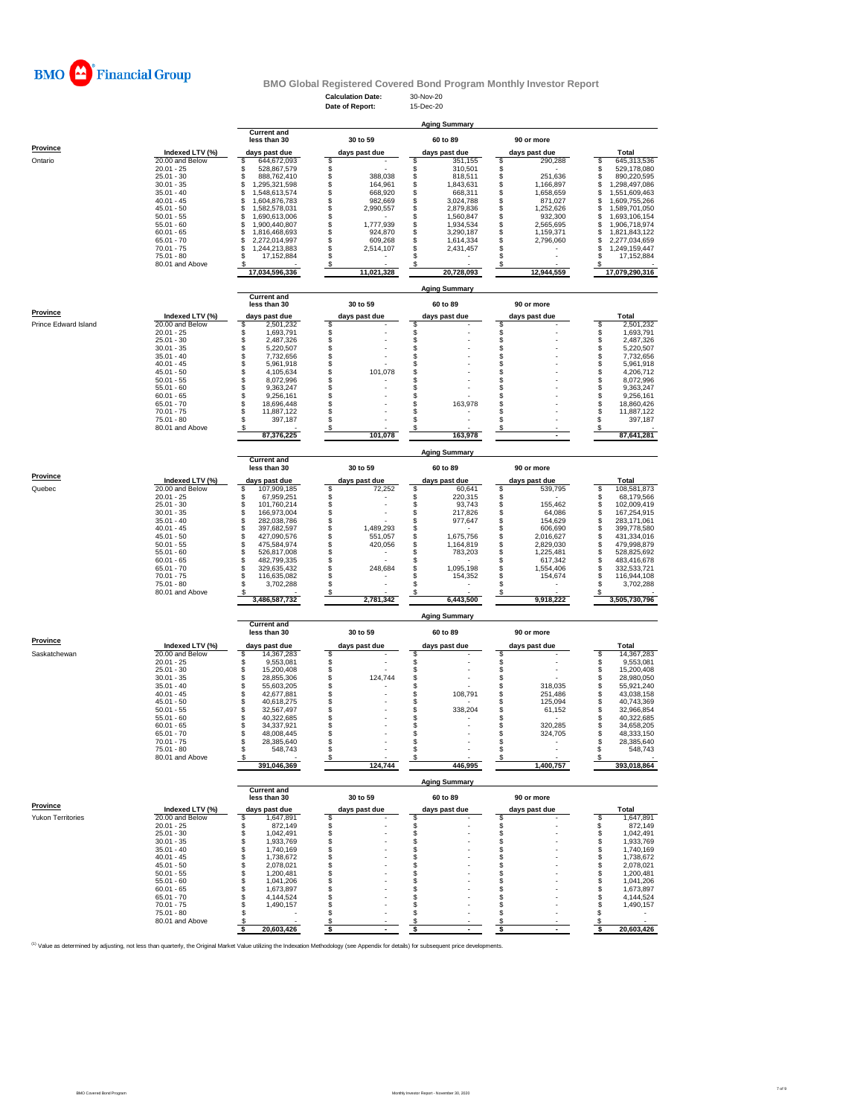

# **BMO Global Registered Covered Bond Program Monthly Investor Report**

|                 |                    | <b>Aging Summary</b>               |               |            |               |            |  |               |  |                |  |  |
|-----------------|--------------------|------------------------------------|---------------|------------|---------------|------------|--|---------------|--|----------------|--|--|
|                 |                    | <b>Current and</b><br>less than 30 |               | 30 to 59   |               | 60 to 89   |  | 90 or more    |  |                |  |  |
| <b>Province</b> | Indexed LTV $(\%)$ | days past due                      | days past due |            | days past due |            |  | days past due |  | <b>Total</b>   |  |  |
| Ontario         | 20.00 and Below    | 644,672,093                        |               |            |               | 351,155    |  | 290,288       |  | 645,313,536    |  |  |
|                 | $20.01 - 25$       | 528,867,579                        |               |            |               | 310,501    |  |               |  | 529,178,080    |  |  |
|                 | $25.01 - 30$       | 888,762,410                        |               | 388,038    |               | 818,511    |  | 251,636       |  | 890,220,595    |  |  |
|                 | $30.01 - 35$       | ,295,321,598                       |               | 164,961    |               | 1,843,631  |  | 166,897       |  | ,298,497,086   |  |  |
|                 | $35.01 - 40$       | .548,613,574                       |               | 668,920    |               | 668,311    |  | 658,659,      |  | 1,551,609,463  |  |  |
|                 | $40.01 - 45$       | ,604,876,783                       |               | 982,669    |               | 3,024,788  |  | 871,027       |  | 609,755,266, ا |  |  |
|                 | $45.01 - 50$       | ,582,578,031                       |               | 2,990,557  |               | 2,879,836  |  | ,252,626      |  | 1,589,701,050  |  |  |
|                 | $50.01 - 55$       | ,690,613,006                       |               |            |               | 1,560,847  |  | 932,300       |  | 1,693,106,154  |  |  |
|                 | $55.01 - 60$       | ,900,440,807                       |               | 1,777,939  |               | 1,934,534  |  | 2,565,695     |  | 906,718,974    |  |  |
|                 | $60.01 - 65$       | ,816,468,693                       |               | 924,870    |               | 3,290,187  |  | 1,159,371     |  | 1,821,843,122  |  |  |
|                 | $65.01 - 70$       | 2,272,014,997                      |               | 609,268    |               | 1,614,334  |  | 2,796,060     |  | 2,277,034,659  |  |  |
|                 | $70.01 - 75$       | ,244,213,883                       |               | 2,514,107  |               | 2,431,457  |  |               |  | 1,249,159,447  |  |  |
|                 | 75.01 - 80         | 17,152,884                         |               |            |               |            |  |               |  | 17,152,884     |  |  |
|                 | 80.01 and Above    |                                    |               |            |               |            |  |               |  |                |  |  |
|                 |                    | 17,034,596,336                     |               | 11,021,328 |               | 20,728,093 |  | 12,944,559    |  | 17,079,290,316 |  |  |

|                             |                                    | <b>Current and</b><br>less than 30 | 30 to 59      | 60 to 89             | 90 or more           |                            |
|-----------------------------|------------------------------------|------------------------------------|---------------|----------------------|----------------------|----------------------------|
| <b>Province</b>             | Indexed LTV (%)                    | days past due                      | days past due | days past due        | days past due        | <b>Total</b>               |
| <b>Prince Edward Island</b> | 20.00 and Below                    | 2,501,232                          |               |                      |                      | 2,501,232                  |
|                             | $20.01 - 25$                       | 1,693,791                          |               |                      |                      | 1,693,791                  |
|                             | $25.01 - 30$                       | 2,487,326                          |               |                      |                      | 2,487,326                  |
|                             | $30.01 - 35$                       | 5,220,507                          |               |                      |                      | 5,220,507                  |
|                             | $35.01 - 40$<br>$40.01 - 45$       | 7,732,656<br>5,961,918             |               |                      |                      | 7,732,656<br>5,961,918     |
|                             | $45.01 - 50$                       | 4,105,634                          | 101,078       |                      |                      | 4,206,712                  |
|                             | $50.01 - 55$                       | 8,072,996                          |               |                      |                      | 8,072,996                  |
|                             | $55.01 - 60$                       | 9,363,247                          |               |                      |                      | 9,363,247                  |
|                             | $60.01 - 65$                       | 9,256,161                          |               |                      |                      | 9,256,161                  |
|                             | $65.01 - 70$<br>$70.01 - 75$       | 18,696,448<br>11,887,122           |               | 163,978              |                      | 18,860,426<br>11,887,122   |
|                             | $75.01 - 80$                       | 397,187                            |               |                      |                      | 397,187                    |
|                             | 80.01 and Above                    |                                    |               |                      |                      |                            |
|                             |                                    | 87,376,225                         | 101,078       | 163,978              |                      | 87,641,281                 |
|                             |                                    | <b>Current and</b>                 |               | <b>Aging Summary</b> |                      |                            |
|                             |                                    | less than 30                       | 30 to 59      | 60 to 89             | 90 or more           |                            |
| <b>Province</b>             | Indexed LTV (%)                    | days past due                      | days past due | days past due        | days past due        | <b>Total</b>               |
| Quebec                      | 20.00 and Below                    | 107,909,185                        | 72,252        | 60,641               | 539,795              | 108,581,873                |
|                             | $20.01 - 25$                       | 67,959,251                         |               | 220,315              |                      | 68,179,566                 |
|                             | $25.01 - 30$                       | 101,760,214                        |               | 93,743               | 155,462              | 102,009,419                |
|                             | $30.01 - 35$<br>$35.01 - 40$       | 166,973,004<br>282,038,786         |               | 217,826<br>977,647   | 64,086<br>154,629    | 167,254,915<br>283,171,061 |
|                             | $40.01 - 45$                       | 397,682,597                        | 1,489,293     |                      | 606,690              | 399,778,580                |
|                             | $45.01 - 50$                       | 427,090,576                        | 551,057       | 1,675,756            | 2,016,627            | 431,334,016                |
|                             | $50.01 - 55$                       | 475,584,974                        | 420,056       | 1,164,819            | 2,829,030            | 479,998,879                |
|                             | $55.01 - 60$                       | 526,817,008                        |               | 783,203              | 1,225,481            | 528,825,692                |
|                             | $60.01 - 65$                       | 482,799,335                        |               |                      | 617,342              | 483,416,678                |
|                             | $65.01 - 70$<br>$70.01 - 75$       | 329,635,432<br>116,635,082         | 248,684       | 1,095,198<br>154,352 | 1,554,406<br>154,674 | 332,533,721<br>116,944,108 |
|                             | 75.01 - 80                         | 3,702,288                          |               |                      |                      | 3,702,288                  |
|                             | 80.01 and Above                    |                                    |               |                      |                      |                            |
|                             |                                    | 3,486,587,732                      | 2,781,342     | 6,443,500            | 9,918,222            | 3,505,730,796              |
|                             |                                    |                                    |               | <b>Aging Summary</b> |                      |                            |
|                             |                                    | <b>Current and</b><br>less than 30 | 30 to 59      | 60 to 89             | 90 or more           |                            |
| <b>Province</b>             |                                    |                                    |               |                      |                      |                            |
|                             | Indexed LTV (%)                    | days past due                      | days past due | days past due        | days past due        | <b>Total</b>               |
| Saskatchewan                | 20.00 and Below                    | 14,367,283                         |               |                      |                      | 14,367,283                 |
|                             | $20.01 - 25$<br>$25.01 - 30$       | 9,553,081<br>15,200,408            |               |                      |                      | 9,553,081<br>15,200,408    |
|                             | $30.01 - 35$                       | 28,855,306                         | 124,744       |                      |                      | 28,980,050                 |
|                             | $35.01 - 40$                       | 55,603,205                         |               |                      | 318,035              | 55,921,240                 |
|                             | $40.01 - 45$                       | 42,677,881                         |               | 108,791              | 251,486              | 43,038,158                 |
|                             | $45.01 - 50$                       | 40,618,275                         |               |                      | 125,094              | 40,743,369                 |
|                             | $50.01 - 55$                       | 32,567,497                         |               | 338,204              | 61,152               | 32,966,854                 |
|                             | $55.01 - 60$<br>$60.01 - 65$       | 40,322,685<br>34,337,921           |               |                      |                      | 40,322,685                 |
|                             |                                    |                                    |               |                      |                      |                            |
|                             |                                    |                                    |               |                      | 320,285              | 34,658,205                 |
|                             | $65.01 - 70$                       | 48,008,445                         |               |                      | 324,705              | 48,333,150                 |
|                             | $70.01 - 75$<br>$75.01 - 80$       | 28,385,640<br>548,743              |               |                      |                      | 28,385,640<br>548,743      |
|                             | 80.01 and Above                    |                                    |               |                      |                      |                            |
|                             |                                    | 391,046,369                        | 124,744       | 446,995              | 1,400,757            | 393,018,864                |
|                             |                                    |                                    |               | <b>Aging Summary</b> |                      |                            |
|                             |                                    | <b>Current and</b><br>less than 30 | 30 to 59      | 60 to 89             | 90 or more           |                            |
| <b>Province</b>             |                                    |                                    |               |                      |                      |                            |
| <b>Yukon Territories</b>    | Indexed LTV (%)<br>20.00 and Below | days past due<br>1,647,891         | days past due | days past due        | days past due        | <b>Total</b><br>1,647,891  |
|                             | $20.01 - 25$                       | 872,149                            |               |                      |                      | 872,149                    |
|                             | $25.01 - 30$                       | 1,042,491                          |               |                      |                      | 1,042,491                  |
|                             | $30.01 - 35$                       | 1,933,769                          |               |                      |                      | 1,933,769                  |
|                             | $35.01 - 40$                       | 1,740,169                          |               |                      |                      | 1,740,169                  |
|                             | $40.01 - 45$                       | 1,738,672                          |               |                      |                      | 1,738,672                  |
|                             | $45.01 - 50$                       | 2,078,021                          |               |                      |                      | 2,078,021                  |
|                             | $50.01 - 55$<br>$55.01 - 60$       | 1,200,481<br>1,041,206             |               |                      |                      | 1,200,481<br>1,041,206     |
|                             | $60.01 - 65$                       | 1,673,897                          |               |                      |                      | 1,673,897                  |
|                             | $65.01 - 70$                       | 4,144,524                          |               |                      |                      | 4,144,524                  |
|                             | $70.01 - 75$                       | 1,490,157                          |               |                      |                      | 1,490,157                  |
|                             | $75.01 - 80$                       |                                    |               |                      |                      |                            |
|                             | 80.01 and Above                    | 20,603,426                         |               |                      |                      | 20,603,426                 |

<sup>(1)</sup> Value as determined by adjusting, not less than quarterly, the Original Market Value utilizing the Indexation Methodology (see Appendix for details) for subsequent price developments.

**Aging Summary**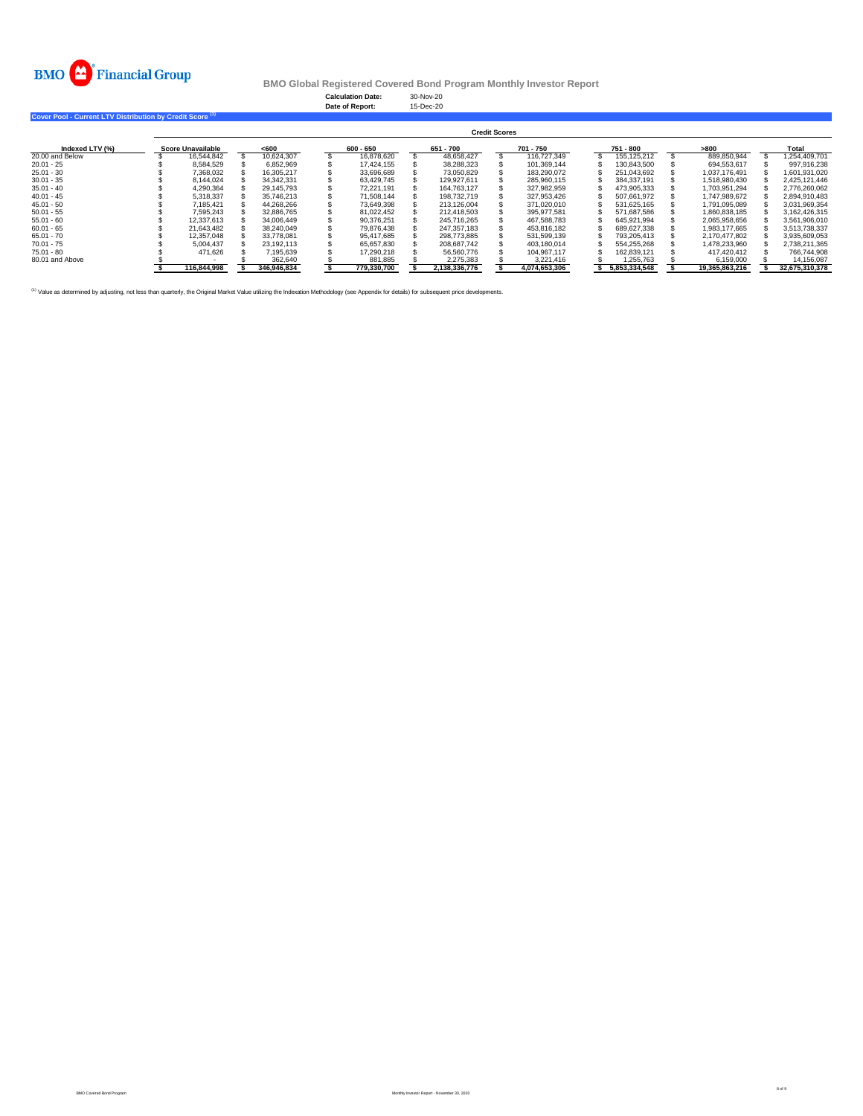

**BMO Global Registered Covered Bond Program Monthly Investor Report**

**Cover Pool - Current LTV Distribution by Credit Score (1)** 

| Indexed LTV (%) | <b>Credit Scores</b>     |             |       |              |             |             |           |               |           |               |           |               |      |                |              |                |
|-----------------|--------------------------|-------------|-------|--------------|-------------|-------------|-----------|---------------|-----------|---------------|-----------|---------------|------|----------------|--------------|----------------|
|                 | <b>Score Unavailable</b> |             | < 600 |              | $600 - 650$ |             | 651 - 700 |               | 701 - 750 |               | 751 - 800 |               | >800 |                | <b>Total</b> |                |
| 20.00 and Below |                          | 16,544,842  |       | 10,624,307   |             | 16,878,620  |           | 48,658,427    |           | 116,727,349   |           | 155,125,212   |      | 889,850,944    |              | 1,254,409,701  |
| $20.01 - 25$    |                          | 8,584,529   |       | 6,852,969    |             | 17,424,155  |           | 38,288,323    |           | 101,369,144   |           | 130,843,500   |      | 694,553,617    |              | 997,916,238    |
| $25.01 - 30$    |                          | 7,368,032   |       | 16,305,217   |             | 33,696,689  |           | 73,050,829    |           | 183,290,072   |           | 251,043,692   |      | 1.037.176.491  |              | 1,601,931,020  |
| $30.01 - 35$    |                          | 8,144,024   |       | 34, 342, 331 |             | 63,429,745  |           | 129,927,611   |           | 285,960,115   |           | 384,337,191   |      | 1,518,980,430  |              | 2,425,121,446  |
| $35.01 - 40$    |                          | 4,290,364   |       | 29,145,793   |             | 72,221,191  |           | 164,763,127   |           | 327,982,959   |           | 473,905,333   |      | 1,703,951,294  |              | 2,776,260,062  |
| $40.01 - 45$    |                          | 5,318,337   |       | 35,746,213   |             | 71,508,144  |           | 198,732,719   |           | 327,953,426   |           | 507,661,972   |      | 1,747,989,672  |              | 2,894,910,483  |
| 45.01 - 50      |                          | 7,185,421   |       | 44,268,266   |             | 73,649,398  |           | 213,126,004   |           | 371,020,010   |           | 531,625,165   |      | 1,791,095,089  |              | 3,031,969,354  |
| $50.01 - 55$    |                          | 7,595,243   |       | 32,886,765   |             | 81,022,452  |           | 212,418,503   |           | 395,977,581   |           | 571,687,586   |      | 1,860,838,185  |              | 3,162,426,315  |
| $55.01 - 60$    |                          | 12,337,613  |       | 34,006,449   |             | 90,376,251  |           | 245,716,265   |           | 467,588,783   |           | 645,921,994   |      | 2,065,958,656  |              | 3,561,906,010  |
| $60.01 - 65$    |                          | 21,643,482  |       | 38,240,049   |             | 79,876,438  |           | 247,357,183   |           | 453,816,182   |           | 689,627,338   |      | 1,983,177,665  |              | 3,513,738,337  |
| 65.01 - 70      |                          | 12,357,048  |       | 33,778,081   |             | 95,417,685  |           | 298,773,885   |           | 531,599,139   |           | 793,205,413   |      | 2,170,477,802  |              | 3,935,609,053  |
| 70.01 - 75      |                          | 5,004,437   |       | 23,192,113   |             | 65,657,830  |           | 208,687,742   |           | 403,180,014   |           | 554,255,268   |      | 1,478,233,960  |              | 2,738,211,365  |
| 75.01 - 80      |                          | 471,626     |       | 7,195,639    |             | 17,290,218  |           | 56,560,776    |           | 104,967,117   |           | 162,839,121   |      | 417,420,412    |              | 766,744,908    |
| 80.01 and Above |                          |             |       | 362,640      |             | 881,885     |           | 2,275,383     |           | 3,221,416     |           | 1,255,763     |      | 6,159,000      |              | 14,156,087     |
|                 |                          | 116,844,998 |       | 346,946,834  |             | 779,330,700 |           | 2,138,336,776 |           | 4,074,653,306 |           | 5,853,334,548 |      | 19,365,863,216 |              | 32,675,310,378 |

<sup>(1)</sup> Value as determined by adjusting, not less than quarterly, the Original Market Value utilizing the Indexation Methodology (see Appendix for details) for subsequent price developments.